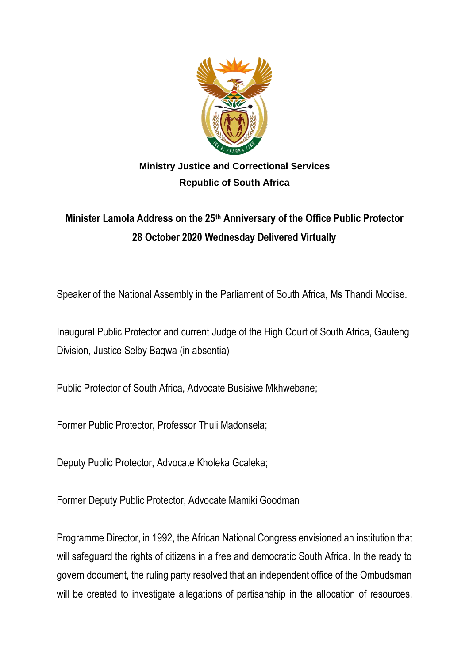

## **Ministry Justice and Correctional Services Republic of South Africa**

## **Minister Lamola Address on the 25th Anniversary of the Office Public Protector 28 October 2020 Wednesday Delivered Virtually**

Speaker of the National Assembly in the Parliament of South Africa, Ms Thandi Modise.

Inaugural Public Protector and current Judge of the High Court of South Africa, Gauteng Division, Justice Selby Baqwa (in absentia)

Public Protector of South Africa, Advocate Busisiwe Mkhwebane;

Former Public Protector, Professor Thuli Madonsela;

Deputy Public Protector, Advocate Kholeka Gcaleka;

Former Deputy Public Protector, Advocate Mamiki Goodman

Programme Director, in 1992, the African National Congress envisioned an institution that will safeguard the rights of citizens in a free and democratic South Africa. In the ready to govern document, the ruling party resolved that an independent office of the Ombudsman will be created to investigate allegations of partisanship in the allocation of resources,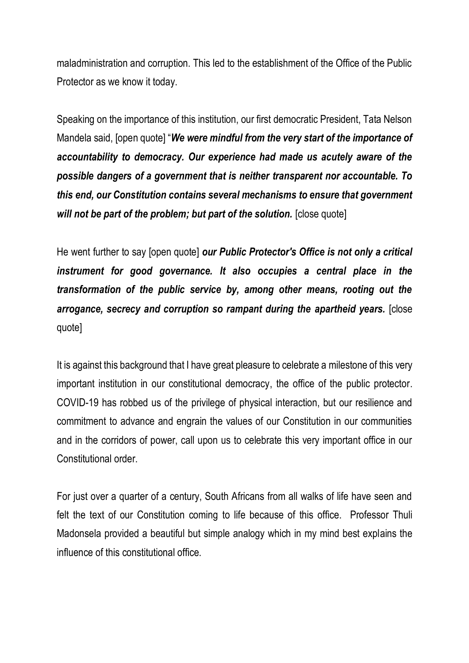maladministration and corruption. This led to the establishment of the Office of the Public Protector as we know it today.

Speaking on the importance of this institution, our first democratic President, Tata Nelson Mandela said, [open quote] "*We were mindful from the very start of the importance of accountability to democracy. Our experience had made us acutely aware of the possible dangers of a government that is neither transparent nor accountable. To this end, our Constitution contains several mechanisms to ensure that government will not be part of the problem; but part of the solution.* [close quote]

He went further to say [open quote] *our Public Protector's Office is not only a critical instrument for good governance. It also occupies a central place in the transformation of the public service by, among other means, rooting out the arrogance, secrecy and corruption so rampant during the apartheid years.* [close quote]

It is against this background that I have great pleasure to celebrate a milestone of this very important institution in our constitutional democracy, the office of the public protector. COVID-19 has robbed us of the privilege of physical interaction, but our resilience and commitment to advance and engrain the values of our Constitution in our communities and in the corridors of power, call upon us to celebrate this very important office in our Constitutional order.

For just over a quarter of a century, South Africans from all walks of life have seen and felt the text of our Constitution coming to life because of this office. Professor Thuli Madonsela provided a beautiful but simple analogy which in my mind best explains the influence of this constitutional office.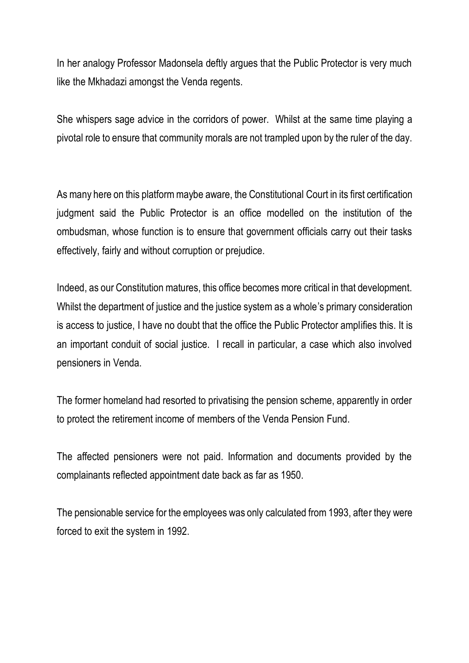In her analogy Professor Madonsela deftly argues that the Public Protector is very much like the Mkhadazi amongst the Venda regents.

She whispers sage advice in the corridors of power. Whilst at the same time playing a pivotal role to ensure that community morals are not trampled upon by the ruler of the day.

As many here on this platform maybe aware, the Constitutional Court in its first certification judgment said the Public Protector is an office modelled on the institution of the ombudsman, whose function is to ensure that government officials carry out their tasks effectively, fairly and without corruption or prejudice.

Indeed, as our Constitution matures, this office becomes more critical in that development. Whilst the department of justice and the justice system as a whole's primary consideration is access to justice, I have no doubt that the office the Public Protector amplifies this. It is an important conduit of social justice. I recall in particular, a case which also involved pensioners in Venda.

The former homeland had resorted to privatising the pension scheme, apparently in order to protect the retirement income of members of the Venda Pension Fund.

The affected pensioners were not paid. Information and documents provided by the complainants reflected appointment date back as far as 1950.

The pensionable service for the employees was only calculated from 1993, after they were forced to exit the system in 1992.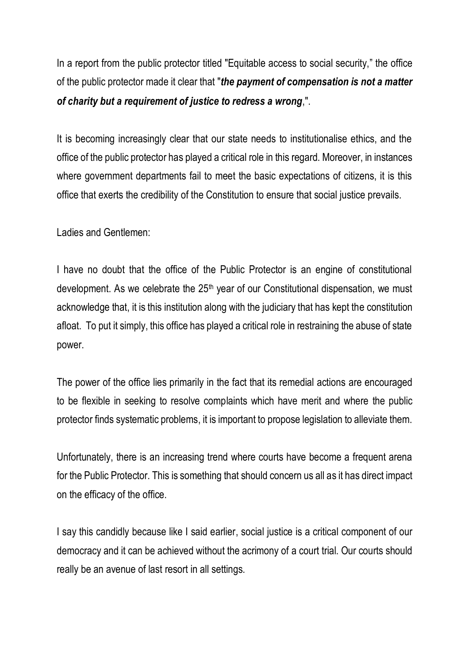In a report from the public protector titled "Equitable access to social security," the office of the public protector made it clear that "*the payment of compensation is not a matter of charity but a requirement of justice to redress a wrong*,".

It is becoming increasingly clear that our state needs to institutionalise ethics, and the office of the public protector has played a critical role in this regard. Moreover, in instances where government departments fail to meet the basic expectations of citizens, it is this office that exerts the credibility of the Constitution to ensure that social justice prevails.

Ladies and Gentlemen:

I have no doubt that the office of the Public Protector is an engine of constitutional development. As we celebrate the 25<sup>th</sup> year of our Constitutional dispensation, we must acknowledge that, it is this institution along with the judiciary that has kept the constitution afloat. To put it simply, this office has played a critical role in restraining the abuse of state power.

The power of the office lies primarily in the fact that its remedial actions are encouraged to be flexible in seeking to resolve complaints which have merit and where the public protector finds systematic problems, it is important to propose legislation to alleviate them.

Unfortunately, there is an increasing trend where courts have become a frequent arena for the Public Protector. This is something that should concern us all as it has direct impact on the efficacy of the office.

I say this candidly because like I said earlier, social justice is a critical component of our democracy and it can be achieved without the acrimony of a court trial. Our courts should really be an avenue of last resort in all settings.